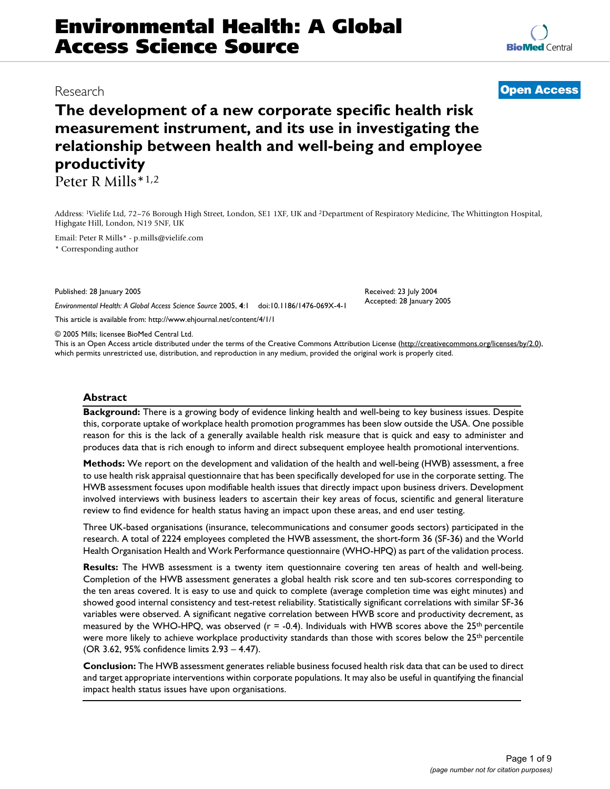# **Environmental Health: A Global Access Science Source**

**The development of a new corporate specific health risk measurement instrument, and its use in investigating the relationship between health and well-being and employee productivity** Peter R Mills\*1,2

Address: 1Vielife Ltd, 72–76 Borough High Street, London, SE1 1XF, UK and 2Department of Respiratory Medicine, The Whittington Hospital, Highgate Hill, London, N19 5NF, UK

Email: Peter R Mills\* - p.mills@vielife.com

\* Corresponding author

Published: 28 January 2005

*Environmental Health: A Global Access Science Source* 2005, **4**:1 doi:10.1186/1476-069X-4-1

[This article is available from: http://www.ehjournal.net/content/4/1/1](http://www.ehjournal.net/content/4/1/1)

© 2005 Mills; licensee BioMed Central Ltd.

This is an Open Access article distributed under the terms of the Creative Commons Attribution License [\(http://creativecommons.org/licenses/by/2.0\)](http://creativecommons.org/licenses/by/2.0), which permits unrestricted use, distribution, and reproduction in any medium, provided the original work is properly cited.

#### **Abstract**

**Background:** There is a growing body of evidence linking health and well-being to key business issues. Despite this, corporate uptake of workplace health promotion programmes has been slow outside the USA. One possible reason for this is the lack of a generally available health risk measure that is quick and easy to administer and produces data that is rich enough to inform and direct subsequent employee health promotional interventions.

**Methods:** We report on the development and validation of the health and well-being (HWB) assessment, a free to use health risk appraisal questionnaire that has been specifically developed for use in the corporate setting. The HWB assessment focuses upon modifiable health issues that directly impact upon business drivers. Development involved interviews with business leaders to ascertain their key areas of focus, scientific and general literature review to find evidence for health status having an impact upon these areas, and end user testing.

Three UK-based organisations (insurance, telecommunications and consumer goods sectors) participated in the research. A total of 2224 employees completed the HWB assessment, the short-form 36 (SF-36) and the World Health Organisation Health and Work Performance questionnaire (WHO-HPQ) as part of the validation process.

**Results:** The HWB assessment is a twenty item questionnaire covering ten areas of health and well-being. Completion of the HWB assessment generates a global health risk score and ten sub-scores corresponding to the ten areas covered. It is easy to use and quick to complete (average completion time was eight minutes) and showed good internal consistency and test-retest reliability. Statistically significant correlations with similar SF-36 variables were observed. A significant negative correlation between HWB score and productivity decrement, as measured by the WHO-HPQ, was observed ( $r = -0.4$ ). Individuals with HWB scores above the 25<sup>th</sup> percentile were more likely to achieve workplace productivity standards than those with scores below the 25<sup>th</sup> percentile (OR 3.62, 95% confidence limits 2.93 – 4.47).

**Conclusion:** The HWB assessment generates reliable business focused health risk data that can be used to direct and target appropriate interventions within corporate populations. It may also be useful in quantifying the financial impact health status issues have upon organisations.

# Research **[Open Access](http://www.biomedcentral.com/info/about/charter/)**

Received: 23 July 2004 Accepted: 28 January 2005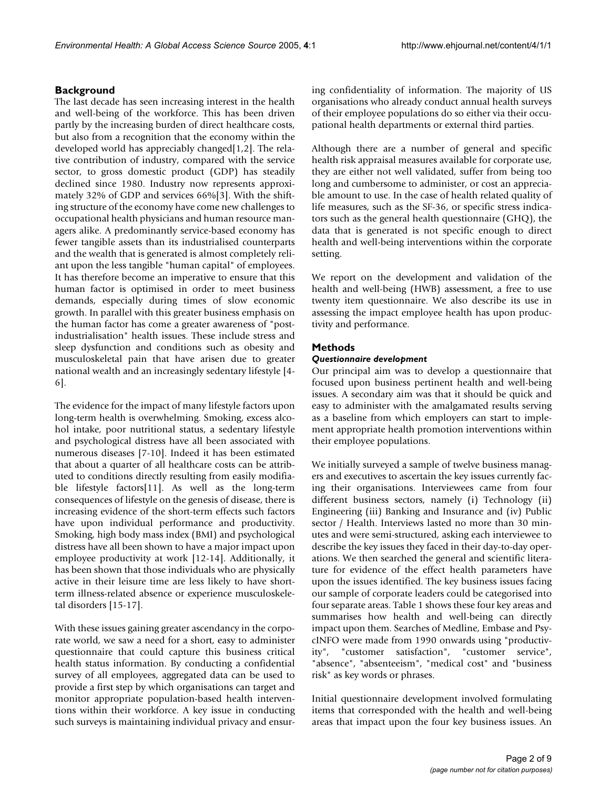# **Background**

The last decade has seen increasing interest in the health and well-being of the workforce. This has been driven partly by the increasing burden of direct healthcare costs, but also from a recognition that the economy within the developed world has appreciably changed[1,2]. The relative contribution of industry, compared with the service sector, to gross domestic product (GDP) has steadily declined since 1980. Industry now represents approximately 32% of GDP and services 66%[3]. With the shifting structure of the economy have come new challenges to occupational health physicians and human resource managers alike. A predominantly service-based economy has fewer tangible assets than its industrialised counterparts and the wealth that is generated is almost completely reliant upon the less tangible "human capital" of employees. It has therefore become an imperative to ensure that this human factor is optimised in order to meet business demands, especially during times of slow economic growth. In parallel with this greater business emphasis on the human factor has come a greater awareness of "postindustrialisation" health issues. These include stress and sleep dysfunction and conditions such as obesity and musculoskeletal pain that have arisen due to greater national wealth and an increasingly sedentary lifestyle [4- 6].

The evidence for the impact of many lifestyle factors upon long-term health is overwhelming. Smoking, excess alcohol intake, poor nutritional status, a sedentary lifestyle and psychological distress have all been associated with numerous diseases [7-10]. Indeed it has been estimated that about a quarter of all healthcare costs can be attributed to conditions directly resulting from easily modifiable lifestyle factors[11]. As well as the long-term consequences of lifestyle on the genesis of disease, there is increasing evidence of the short-term effects such factors have upon individual performance and productivity. Smoking, high body mass index (BMI) and psychological distress have all been shown to have a major impact upon employee productivity at work [12-14]. Additionally, it has been shown that those individuals who are physically active in their leisure time are less likely to have shortterm illness-related absence or experience musculoskeletal disorders [15-17].

With these issues gaining greater ascendancy in the corporate world, we saw a need for a short, easy to administer questionnaire that could capture this business critical health status information. By conducting a confidential survey of all employees, aggregated data can be used to provide a first step by which organisations can target and monitor appropriate population-based health interventions within their workforce. A key issue in conducting such surveys is maintaining individual privacy and ensuring confidentiality of information. The majority of US organisations who already conduct annual health surveys of their employee populations do so either via their occupational health departments or external third parties.

Although there are a number of general and specific health risk appraisal measures available for corporate use, they are either not well validated, suffer from being too long and cumbersome to administer, or cost an appreciable amount to use. In the case of health related quality of life measures, such as the SF-36, or specific stress indicators such as the general health questionnaire (GHQ), the data that is generated is not specific enough to direct health and well-being interventions within the corporate setting.

We report on the development and validation of the health and well-being (HWB) assessment, a free to use twenty item questionnaire. We also describe its use in assessing the impact employee health has upon productivity and performance.

# **Methods**

# *Questionnaire development*

Our principal aim was to develop a questionnaire that focused upon business pertinent health and well-being issues. A secondary aim was that it should be quick and easy to administer with the amalgamated results serving as a baseline from which employers can start to implement appropriate health promotion interventions within their employee populations.

We initially surveyed a sample of twelve business managers and executives to ascertain the key issues currently facing their organisations. Interviewees came from four different business sectors, namely (i) Technology (ii) Engineering (iii) Banking and Insurance and (iv) Public sector / Health. Interviews lasted no more than 30 minutes and were semi-structured, asking each interviewee to describe the key issues they faced in their day-to-day operations. We then searched the general and scientific literature for evidence of the effect health parameters have upon the issues identified. The key business issues facing our sample of corporate leaders could be categorised into four separate areas. Table [1](#page-2-0) shows these four key areas and summarises how health and well-being can directly impact upon them. Searches of Medline, Embase and PsycINFO were made from 1990 onwards using "productivity", "customer satisfaction", "customer service", "absence", "absenteeism", "medical cost" and "business risk" as key words or phrases.

Initial questionnaire development involved formulating items that corresponded with the health and well-being areas that impact upon the four key business issues. An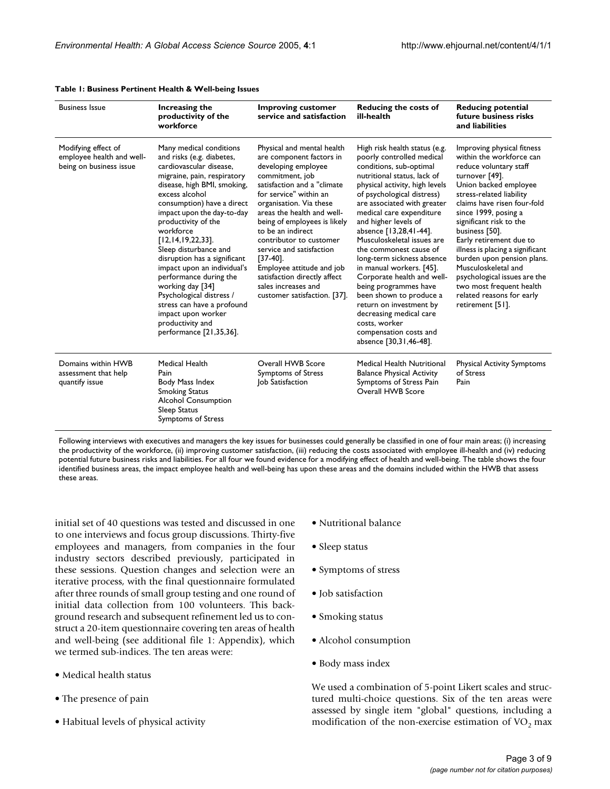| <b>Business Issue</b>                                                       | Increasing the<br>productivity of the<br>workforce                                                                                                                                                                                                                                                                                                                                                                                                                                                                                                               | <b>Improving customer</b><br>service and satisfaction                                                                                                                                                                                                                                                                                                                                                                                                             | <b>Reducing the costs of</b><br>ill-health                                                                                                                                                                                                                                                                                                                                                                                                                                                                                                                                                                                       | <b>Reducing potential</b><br>future business risks<br>and liabilities                                                                                                                                                                                                                                                                                                                                                                                                                        |
|-----------------------------------------------------------------------------|------------------------------------------------------------------------------------------------------------------------------------------------------------------------------------------------------------------------------------------------------------------------------------------------------------------------------------------------------------------------------------------------------------------------------------------------------------------------------------------------------------------------------------------------------------------|-------------------------------------------------------------------------------------------------------------------------------------------------------------------------------------------------------------------------------------------------------------------------------------------------------------------------------------------------------------------------------------------------------------------------------------------------------------------|----------------------------------------------------------------------------------------------------------------------------------------------------------------------------------------------------------------------------------------------------------------------------------------------------------------------------------------------------------------------------------------------------------------------------------------------------------------------------------------------------------------------------------------------------------------------------------------------------------------------------------|----------------------------------------------------------------------------------------------------------------------------------------------------------------------------------------------------------------------------------------------------------------------------------------------------------------------------------------------------------------------------------------------------------------------------------------------------------------------------------------------|
| Modifying effect of<br>employee health and well-<br>being on business issue | Many medical conditions<br>and risks (e.g. diabetes,<br>cardiovascular disease,<br>migraine, pain, respiratory<br>disease, high BMI, smoking,<br>excess alcohol<br>consumption) have a direct<br>impact upon the day-to-day<br>productivity of the<br>workforce<br>$[12, 14, 19, 22, 33]$ .<br>Sleep disturbance and<br>disruption has a significant<br>impact upon an individual's<br>performance during the<br>working day [34]<br>Psychological distress /<br>stress can have a profound<br>impact upon worker<br>productivity and<br>performance [21,35,36]. | Physical and mental health<br>are component factors in<br>developing employee<br>commitment, job<br>satisfaction and a "climate<br>for service" within an<br>organisation. Via these<br>areas the health and well-<br>being of employees is likely<br>to be an indirect<br>contributor to customer<br>service and satisfaction<br>$[37-40]$ .<br>Employee attitude and job<br>satisfaction directly affect<br>sales increases and<br>customer satisfaction. [37]. | High risk health status (e.g.<br>poorly controlled medical<br>conditions, sub-optimal<br>nutritional status, lack of<br>physical activity, high levels<br>of psychological distress)<br>are associated with greater<br>medical care expenditure<br>and higher levels of<br>absence [13,28,41-44].<br>Musculoskeletal issues are<br>the commonest cause of<br>long-term sickness absence<br>in manual workers. [45].<br>Corporate health and well-<br>being programmes have<br>been shown to produce a<br>return on investment by<br>decreasing medical care<br>costs, worker<br>compensation costs and<br>absence [30,31,46-48]. | Improving physical fitness<br>within the workforce can<br>reduce voluntary staff<br>turnover [49].<br>Union backed employee<br>stress-related liability<br>claims have risen four-fold<br>since 1999, posing a<br>significant risk to the<br>business [50].<br>Early retirement due to<br>illness is placing a significant<br>burden upon pension plans.<br>Musculoskeletal and<br>psychological issues are the<br>two most frequent health<br>related reasons for early<br>retirement [51]. |
| Domains within HWB<br>assessment that help<br>quantify issue                | <b>Medical Health</b><br>Pain<br>Body Mass Index<br><b>Smoking Status</b><br><b>Alcohol Consumption</b><br>Sleep Status<br>Symptoms of Stress                                                                                                                                                                                                                                                                                                                                                                                                                    | Overall HWB Score<br>Symptoms of Stress<br>Job Satisfaction                                                                                                                                                                                                                                                                                                                                                                                                       | Medical Health Nutritional<br><b>Balance Physical Activity</b><br>Symptoms of Stress Pain<br>Overall HWB Score                                                                                                                                                                                                                                                                                                                                                                                                                                                                                                                   | <b>Physical Activity Symptoms</b><br>of Stress<br>Pain                                                                                                                                                                                                                                                                                                                                                                                                                                       |

#### <span id="page-2-0"></span>**Table 1: Business Pertinent Health & Well-being Issues**

Following interviews with executives and managers the key issues for businesses could generally be classified in one of four main areas; (i) increasing the productivity of the workforce, (ii) improving customer satisfaction, (iii) reducing the costs associated with employee ill-health and (iv) reducing potential future business risks and liabilities. For all four we found evidence for a modifying effect of health and well-being. The table shows the four identified business areas, the impact employee health and well-being has upon these areas and the domains included within the HWB that assess these areas.

initial set of 40 questions was tested and discussed in one to one interviews and focus group discussions. Thirty-five employees and managers, from companies in the four industry sectors described previously, participated in these sessions. Question changes and selection were an iterative process, with the final questionnaire formulated after three rounds of small group testing and one round of initial data collection from 100 volunteers. This background research and subsequent refinement led us to construct a 20-item questionnaire covering ten areas of health and well-being (see additional file 1: Appendix), which we termed sub-indices. The ten areas were:

- Medical health status
- The presence of pain
- Habitual levels of physical activity
- Nutritional balance
- Sleep status
- Symptoms of stress
- Job satisfaction
- Smoking status
- Alcohol consumption
- Body mass index

We used a combination of 5-point Likert scales and structured multi-choice questions. Six of the ten areas were assessed by single item "global" questions, including a modification of the non-exercise estimation of  $VO<sub>2</sub>$  max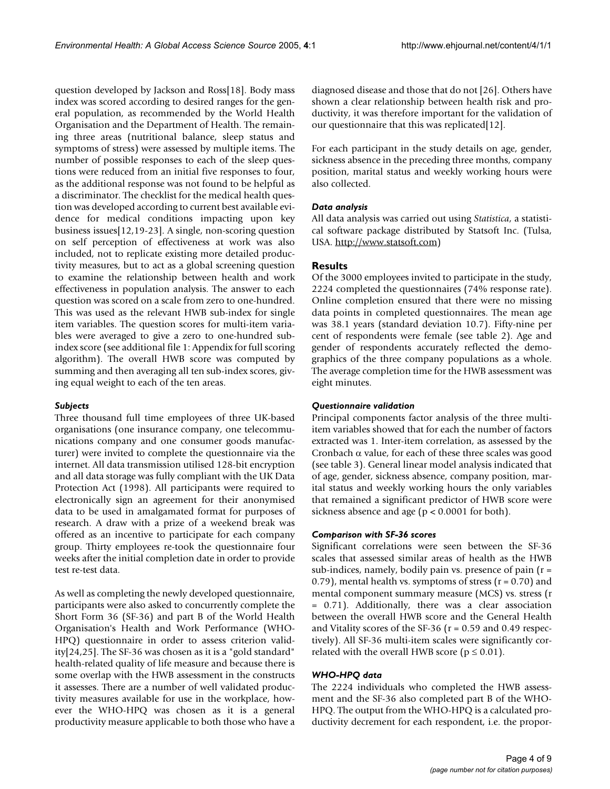question developed by Jackson and Ross[18]. Body mass index was scored according to desired ranges for the general population, as recommended by the World Health Organisation and the Department of Health. The remaining three areas (nutritional balance, sleep status and symptoms of stress) were assessed by multiple items. The number of possible responses to each of the sleep questions were reduced from an initial five responses to four, as the additional response was not found to be helpful as a discriminator. The checklist for the medical health question was developed according to current best available evidence for medical conditions impacting upon key business issues[12,19-23]. A single, non-scoring question on self perception of effectiveness at work was also included, not to replicate existing more detailed productivity measures, but to act as a global screening question to examine the relationship between health and work effectiveness in population analysis. The answer to each question was scored on a scale from zero to one-hundred. This was used as the relevant HWB sub-index for single item variables. The question scores for multi-item variables were averaged to give a zero to one-hundred subindex score (see additional file 1: Appendix for full scoring algorithm). The overall HWB score was computed by summing and then averaging all ten sub-index scores, giving equal weight to each of the ten areas.

# *Subjects*

Three thousand full time employees of three UK-based organisations (one insurance company, one telecommunications company and one consumer goods manufacturer) were invited to complete the questionnaire via the internet. All data transmission utilised 128-bit encryption and all data storage was fully compliant with the UK Data Protection Act (1998). All participants were required to electronically sign an agreement for their anonymised data to be used in amalgamated format for purposes of research. A draw with a prize of a weekend break was offered as an incentive to participate for each company group. Thirty employees re-took the questionnaire four weeks after the initial completion date in order to provide test re-test data.

As well as completing the newly developed questionnaire, participants were also asked to concurrently complete the Short Form 36 (SF-36) and part B of the World Health Organisation's Health and Work Performance (WHO-HPQ) questionnaire in order to assess criterion validity[24,25]. The SF-36 was chosen as it is a "gold standard" health-related quality of life measure and because there is some overlap with the HWB assessment in the constructs it assesses. There are a number of well validated productivity measures available for use in the workplace, however the WHO-HPQ was chosen as it is a general productivity measure applicable to both those who have a

diagnosed disease and those that do not [26]. Others have shown a clear relationship between health risk and productivity, it was therefore important for the validation of our questionnaire that this was replicated[12].

For each participant in the study details on age, gender, sickness absence in the preceding three months, company position, marital status and weekly working hours were also collected.

# *Data analysis*

All data analysis was carried out using *Statistica*, a statistical software package distributed by Statsoft Inc. (Tulsa, USA. [http://www.statsoft.com\)](http://www.statsoft.com)

# **Results**

Of the 3000 employees invited to participate in the study, 2224 completed the questionnaires (74% response rate). Online completion ensured that there were no missing data points in completed questionnaires. The mean age was 38.1 years (standard deviation 10.7). Fifty-nine per cent of respondents were female (see table 2). Age and gender of respondents accurately reflected the demographics of the three company populations as a whole. The average completion time for the HWB assessment was eight minutes.

# *Questionnaire validation*

Principal components factor analysis of the three multiitem variables showed that for each the number of factors extracted was 1. Inter-item correlation, as assessed by the Cronbach  $\alpha$  value, for each of these three scales was good (see table 3). General linear model analysis indicated that of age, gender, sickness absence, company position, marital status and weekly working hours the only variables that remained a significant predictor of HWB score were sickness absence and age ( $p < 0.0001$  for both).

# *Comparison with SF-36 scores*

Significant correlations were seen between the SF-36 scales that assessed similar areas of health as the HWB sub-indices, namely, bodily pain vs. presence of pain  $(r =$ 0.79), mental health vs. symptoms of stress ( $r = 0.70$ ) and mental component summary measure (MCS) vs. stress (r = 0.71). Additionally, there was a clear association between the overall HWB score and the General Health and Vitality scores of the SF-36 ( $r = 0.59$  and 0.49 respectively). All SF-36 multi-item scales were significantly correlated with the overall HWB score ( $p \le 0.01$ ).

# *WHO-HPQ data*

The 2224 individuals who completed the HWB assessment and the SF-36 also completed part B of the WHO-HPQ. The output from the WHO-HPQ is a calculated productivity decrement for each respondent, i.e. the propor-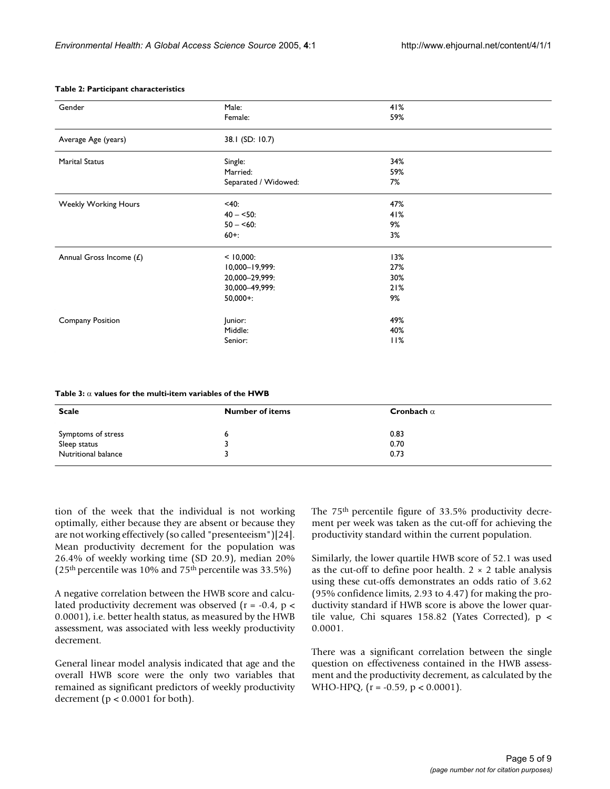| Gender                      | Male:                | 41% |  |
|-----------------------------|----------------------|-----|--|
|                             | Female:              | 59% |  |
| Average Age (years)         | 38.1 (SD: 10.7)      |     |  |
| <b>Marital Status</b>       | Single:              | 34% |  |
|                             | Married:             | 59% |  |
|                             | Separated / Widowed: | 7%  |  |
| <b>Weekly Working Hours</b> | < 40:                | 47% |  |
|                             | $40 - 50$ :          | 41% |  |
|                             | $50 - 60$ :          | 9%  |  |
|                             | $60 +$ :             | 3%  |  |
| Annual Gross Income $(E)$   | $< 10,000$ :         | 13% |  |
|                             | 10,000-19,999:       | 27% |  |
|                             | 20,000-29,999:       | 30% |  |
|                             | 30,000-49,999:       | 21% |  |
|                             | $50,000 +:$          | 9%  |  |
| Company Position            | Junior:              | 49% |  |
|                             | Middle:              | 40% |  |
|                             | Senior:              | 11% |  |

#### **Table 2: Participant characteristics**

**Table 3:** α **values for the multi-item variables of the HWB**

| <b>Scale</b>        | <b>Number of items</b> | Cronbach $\alpha$ |
|---------------------|------------------------|-------------------|
| Symptoms of stress  |                        | 0.83              |
| Sleep status        |                        | 0.70              |
| Nutritional balance |                        | 0.73              |

tion of the week that the individual is not working optimally, either because they are absent or because they are not working effectively (so called "presenteeism")[24]. Mean productivity decrement for the population was 26.4% of weekly working time (SD 20.9), median 20% ( $25<sup>th</sup>$  percentile was 10% and  $75<sup>th</sup>$  percentile was 33.5%)

A negative correlation between the HWB score and calculated productivity decrement was observed (r = -0.4, p < 0.0001), i.e. better health status, as measured by the HWB assessment, was associated with less weekly productivity decrement.

General linear model analysis indicated that age and the overall HWB score were the only two variables that remained as significant predictors of weekly productivity decrement ( $p < 0.0001$  for both).

The 75th percentile figure of 33.5% productivity decrement per week was taken as the cut-off for achieving the productivity standard within the current population.

Similarly, the lower quartile HWB score of 52.1 was used as the cut-off to define poor health.  $2 \times 2$  table analysis using these cut-offs demonstrates an odds ratio of 3.62 (95% confidence limits, 2.93 to 4.47) for making the productivity standard if HWB score is above the lower quartile value, Chi squares 158.82 (Yates Corrected), p < 0.0001.

There was a significant correlation between the single question on effectiveness contained in the HWB assessment and the productivity decrement, as calculated by the WHO-HPQ, (r = -0.59, p < 0.0001).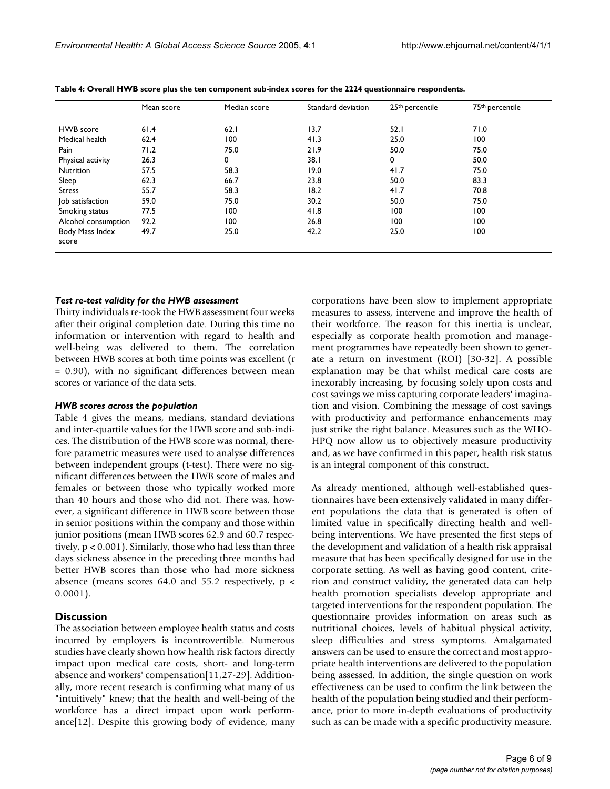|                          | Mean score | Median score | Standard deviation | 25 <sup>th</sup> percentile | 75 <sup>th</sup> percentile |
|--------------------------|------------|--------------|--------------------|-----------------------------|-----------------------------|
| HWB score                | 61.4       | 62.1         | 13.7               | 52.1                        | 71.0                        |
| Medical health           | 62.4       | 100          | 41.3               | 25.0                        | 100                         |
| Pain                     | 71.2       | 75.0         | 21.9               | 50.0                        | 75.0                        |
| Physical activity        | 26.3       | 0            | 38.1               | 0                           | 50.0                        |
| <b>Nutrition</b>         | 57.5       | 58.3         | 19.0               | 41.7                        | 75.0                        |
| Sleep                    | 62.3       | 66.7         | 23.8               | 50.0                        | 83.3                        |
| <b>Stress</b>            | 55.7       | 58.3         | 18.2               | 41.7                        | 70.8                        |
| Job satisfaction         | 59.0       | 75.0         | 30.2               | 50.0                        | 75.0                        |
| Smoking status           | 77.5       | 100          | 41.8               | 100                         | 100                         |
| Alcohol consumption      | 92.2       | 100          | 26.8               | 100                         | 100                         |
| Body Mass Index<br>score | 49.7       | 25.0         | 42.2               | 25.0                        | 100                         |

<span id="page-5-0"></span>**Table 4: Overall HWB score plus the ten component sub-index scores for the 2224 questionnaire respondents.**

### *Test re-test validity for the HWB assessment*

Thirty individuals re-took the HWB assessment four weeks after their original completion date. During this time no information or intervention with regard to health and well-being was delivered to them. The correlation between HWB scores at both time points was excellent (r = 0.90), with no significant differences between mean scores or variance of the data sets.

# *HWB scores across the population*

Table [4](#page-5-0) gives the means, medians, standard deviations and inter-quartile values for the HWB score and sub-indices. The distribution of the HWB score was normal, therefore parametric measures were used to analyse differences between independent groups (t-test). There were no significant differences between the HWB score of males and females or between those who typically worked more than 40 hours and those who did not. There was, however, a significant difference in HWB score between those in senior positions within the company and those within junior positions (mean HWB scores 62.9 and 60.7 respectively,  $p < 0.001$ ). Similarly, those who had less than three days sickness absence in the preceding three months had better HWB scores than those who had more sickness absence (means scores 64.0 and 55.2 respectively,  $p \lt \theta$ 0.0001).

#### **Discussion**

The association between employee health status and costs incurred by employers is incontrovertible. Numerous studies have clearly shown how health risk factors directly impact upon medical care costs, short- and long-term absence and workers' compensation[11,27-29]. Additionally, more recent research is confirming what many of us "intuitively" knew; that the health and well-being of the workforce has a direct impact upon work performance[12]. Despite this growing body of evidence, many corporations have been slow to implement appropriate measures to assess, intervene and improve the health of their workforce. The reason for this inertia is unclear, especially as corporate health promotion and management programmes have repeatedly been shown to generate a return on investment (ROI) [30-32]. A possible explanation may be that whilst medical care costs are inexorably increasing, by focusing solely upon costs and cost savings we miss capturing corporate leaders' imagination and vision. Combining the message of cost savings with productivity and performance enhancements may just strike the right balance. Measures such as the WHO-HPQ now allow us to objectively measure productivity and, as we have confirmed in this paper, health risk status is an integral component of this construct.

As already mentioned, although well-established questionnaires have been extensively validated in many different populations the data that is generated is often of limited value in specifically directing health and wellbeing interventions. We have presented the first steps of the development and validation of a health risk appraisal measure that has been specifically designed for use in the corporate setting. As well as having good content, criterion and construct validity, the generated data can help health promotion specialists develop appropriate and targeted interventions for the respondent population. The questionnaire provides information on areas such as nutritional choices, levels of habitual physical activity, sleep difficulties and stress symptoms. Amalgamated answers can be used to ensure the correct and most appropriate health interventions are delivered to the population being assessed. In addition, the single question on work effectiveness can be used to confirm the link between the health of the population being studied and their performance, prior to more in-depth evaluations of productivity such as can be made with a specific productivity measure.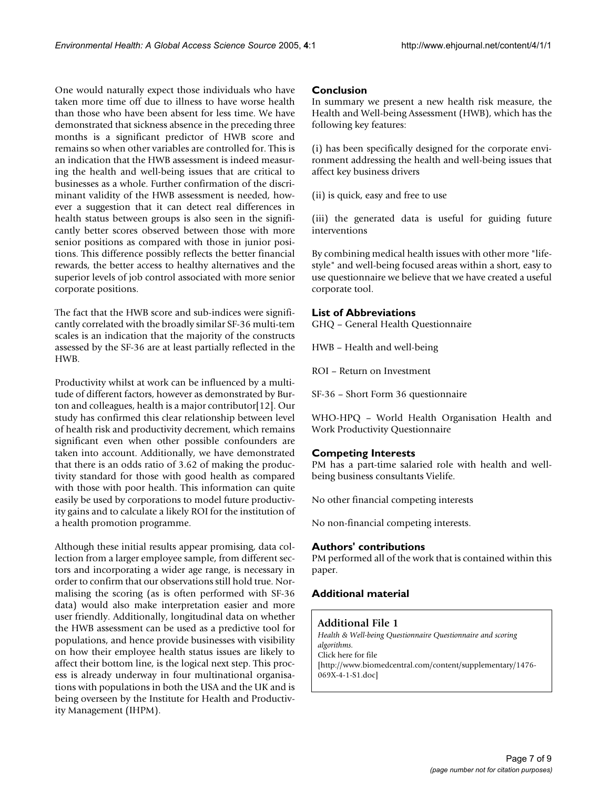One would naturally expect those individuals who have taken more time off due to illness to have worse health than those who have been absent for less time. We have demonstrated that sickness absence in the preceding three months is a significant predictor of HWB score and remains so when other variables are controlled for. This is an indication that the HWB assessment is indeed measuring the health and well-being issues that are critical to businesses as a whole. Further confirmation of the discriminant validity of the HWB assessment is needed, however a suggestion that it can detect real differences in health status between groups is also seen in the significantly better scores observed between those with more senior positions as compared with those in junior positions. This difference possibly reflects the better financial rewards, the better access to healthy alternatives and the superior levels of job control associated with more senior corporate positions.

The fact that the HWB score and sub-indices were significantly correlated with the broadly similar SF-36 multi-tem scales is an indication that the majority of the constructs assessed by the SF-36 are at least partially reflected in the HWB.

Productivity whilst at work can be influenced by a multitude of different factors, however as demonstrated by Burton and colleagues, health is a major contributor[12]. Our study has confirmed this clear relationship between level of health risk and productivity decrement, which remains significant even when other possible confounders are taken into account. Additionally, we have demonstrated that there is an odds ratio of 3.62 of making the productivity standard for those with good health as compared with those with poor health. This information can quite easily be used by corporations to model future productivity gains and to calculate a likely ROI for the institution of a health promotion programme.

Although these initial results appear promising, data collection from a larger employee sample, from different sectors and incorporating a wider age range, is necessary in order to confirm that our observations still hold true. Normalising the scoring (as is often performed with SF-36 data) would also make interpretation easier and more user friendly. Additionally, longitudinal data on whether the HWB assessment can be used as a predictive tool for populations, and hence provide businesses with visibility on how their employee health status issues are likely to affect their bottom line, is the logical next step. This process is already underway in four multinational organisations with populations in both the USA and the UK and is being overseen by the Institute for Health and Productivity Management (IHPM).

# **Conclusion**

In summary we present a new health risk measure, the Health and Well-being Assessment (HWB), which has the following key features:

(i) has been specifically designed for the corporate environment addressing the health and well-being issues that affect key business drivers

(ii) is quick, easy and free to use

(iii) the generated data is useful for guiding future interventions

By combining medical health issues with other more "lifestyle" and well-being focused areas within a short, easy to use questionnaire we believe that we have created a useful corporate tool.

# **List of Abbreviations**

GHQ – General Health Questionnaire

HWB – Health and well-being

ROI – Return on Investment

SF-36 – Short Form 36 questionnaire

WHO-HPQ – World Health Organisation Health and Work Productivity Questionnaire

# **Competing Interests**

PM has a part-time salaried role with health and wellbeing business consultants Vielife.

No other financial competing interests

No non-financial competing interests.

# **Authors' contributions**

PM performed all of the work that is contained within this paper.

# **Additional material**

# **Additional File 1**

*Health & Well-being Questionnaire Questionnaire and scoring algorithms.* Click here for file [\[http://www.biomedcentral.com/content/supplementary/1476-](http://www.biomedcentral.com/content/supplementary/1476-069X-4-1-S1.doc) 069X-4-1-S1.doc]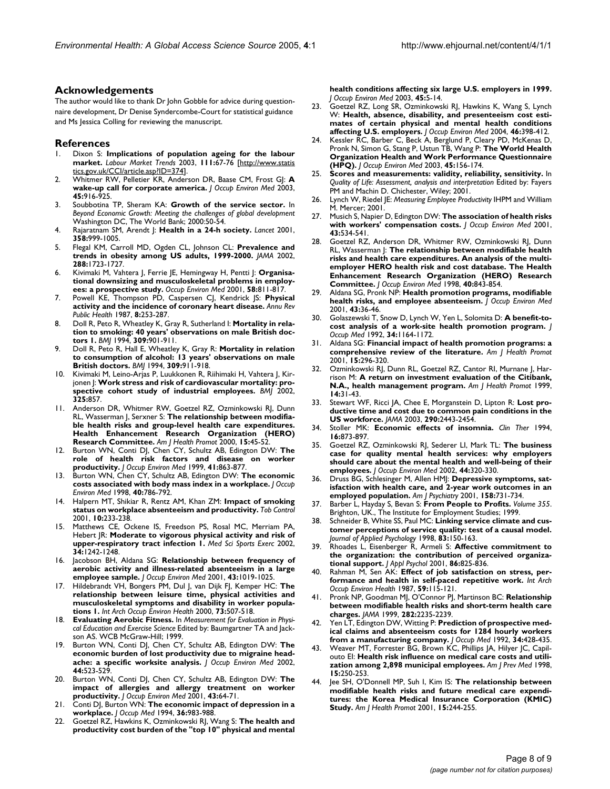#### **Acknowledgements**

The author would like to thank Dr John Gobble for advice during questionnaire development, Dr Denise Syndercombe-Court for statistical guidance and Ms Jessica Colling for reviewing the manuscript.

#### **References**

- 1. Dixon S: **Implications of population ageing for the labour market.** *Labour Market Trends* 2003, **111:**67-76 [[http://www.statis](http://www.statistics.gov.uk/CCI/article.asp?ID=374) [tics.gov.uk/CCI/article.asp?ID=374](http://www.statistics.gov.uk/CCI/article.asp?ID=374)].
- 2. Whitmer RW, Pelletier KR, Anderson DR, Baase CM, Frost GJ: **[A](http://www.ncbi.nlm.nih.gov/entrez/query.fcgi?cmd=Retrieve&db=PubMed&dopt=Abstract&list_uids=14506336) [wake-up call for corporate america.](http://www.ncbi.nlm.nih.gov/entrez/query.fcgi?cmd=Retrieve&db=PubMed&dopt=Abstract&list_uids=14506336)** *J Occup Environ Med* 2003, **45:**916-925.
- 3. Soubbotina TP, Sheram KA: **Growth of the service sector.** In *Beyond Economic Growth: Meeting the challenges of global development* Washington DC, The World Bank; 2000:50-54.
- 4. Rajaratnam SM, Arendt J: **[Health in a 24-h society.](http://www.ncbi.nlm.nih.gov/entrez/query.fcgi?cmd=Retrieve&db=PubMed&dopt=Abstract&list_uids=11583769)** *Lancet* 2001, **358:**999-1005.
- 5. Flegal KM, Carroll MD, Ogden CL, Johnson CL: **[Prevalence and](http://www.ncbi.nlm.nih.gov/entrez/query.fcgi?cmd=Retrieve&db=PubMed&dopt=Abstract&list_uids=12365955) [trends in obesity among US adults, 1999-2000.](http://www.ncbi.nlm.nih.gov/entrez/query.fcgi?cmd=Retrieve&db=PubMed&dopt=Abstract&list_uids=12365955)** *JAMA* 2002, **288:**1723-1727.
- 6. Kivimaki M, Vahtera J, Ferrie JE, Hemingway H, Pentti J: **[Organisa](http://www.ncbi.nlm.nih.gov/entrez/query.fcgi?cmd=Retrieve&db=PubMed&dopt=Abstract&list_uids=11706148)[tional downsizing and musculoskeletal problems in employ](http://www.ncbi.nlm.nih.gov/entrez/query.fcgi?cmd=Retrieve&db=PubMed&dopt=Abstract&list_uids=11706148)[ees: a prospective study.](http://www.ncbi.nlm.nih.gov/entrez/query.fcgi?cmd=Retrieve&db=PubMed&dopt=Abstract&list_uids=11706148)** *Occup Environ Med* 2001, **58:**811-817.
- 7. Powell KE, Thompson PD, Caspersen CJ, Kendrick JS: **[Physical](http://www.ncbi.nlm.nih.gov/entrez/query.fcgi?cmd=Retrieve&db=PubMed&dopt=Abstract&list_uids=3555525) [activity and the incidence of coronary heart disease.](http://www.ncbi.nlm.nih.gov/entrez/query.fcgi?cmd=Retrieve&db=PubMed&dopt=Abstract&list_uids=3555525)** *Annu Rev Public Health* 1987, **8:**253-287.
- 8. Doll R, Peto R, Wheatley K, Gray R, Sutherland I: **[Mortality in rela](http://www.ncbi.nlm.nih.gov/entrez/query.fcgi?cmd=Retrieve&db=PubMed&dopt=Abstract&list_uids=7755693)[tion to smoking: 40 years' observations on male British doc](http://www.ncbi.nlm.nih.gov/entrez/query.fcgi?cmd=Retrieve&db=PubMed&dopt=Abstract&list_uids=7755693)[tors 1.](http://www.ncbi.nlm.nih.gov/entrez/query.fcgi?cmd=Retrieve&db=PubMed&dopt=Abstract&list_uids=7755693)** *BMJ* 1994, **309:**901-911.
- 9. Doll R, Peto R, Hall E, Wheatley K, Gray R: **[Mortality in relation](http://www.ncbi.nlm.nih.gov/entrez/query.fcgi?cmd=Retrieve&db=PubMed&dopt=Abstract&list_uids=7950661) [to consumption of alcohol: 13 years' observations on male](http://www.ncbi.nlm.nih.gov/entrez/query.fcgi?cmd=Retrieve&db=PubMed&dopt=Abstract&list_uids=7950661) [British doctors.](http://www.ncbi.nlm.nih.gov/entrez/query.fcgi?cmd=Retrieve&db=PubMed&dopt=Abstract&list_uids=7950661)** *BMJ* 1994, **309:**911-918.
- 10. Kivimaki M, Leino-Arjas P, Luukkonen R, Riihimaki H, Vahtera J, Kirjonen J: **[Work stress and risk of cardiovascular mortality: pro](http://www.ncbi.nlm.nih.gov/entrez/query.fcgi?cmd=Retrieve&db=PubMed&dopt=Abstract&list_uids=12386034)[spective cohort study of industrial employees.](http://www.ncbi.nlm.nih.gov/entrez/query.fcgi?cmd=Retrieve&db=PubMed&dopt=Abstract&list_uids=12386034)** *BMJ* 2002, **325:**857.
- 11. Anderson DR, Whitmer RW, Goetzel RZ, Ozminkowski RI, Dunn RL, Wasserman J, Serxner S: **[The relationship between modifia](http://www.ncbi.nlm.nih.gov/entrez/query.fcgi?cmd=Retrieve&db=PubMed&dopt=Abstract&list_uids=11184118)[ble health risks and group-level health care expenditures.](http://www.ncbi.nlm.nih.gov/entrez/query.fcgi?cmd=Retrieve&db=PubMed&dopt=Abstract&list_uids=11184118) Health Enhancement Research Organization (HERO) [Research Committee.](http://www.ncbi.nlm.nih.gov/entrez/query.fcgi?cmd=Retrieve&db=PubMed&dopt=Abstract&list_uids=11184118)** *Am J Health Promot* 2000, **15:**45-52.
- 12. Burton WN, Conti DJ, Chen CY, Schultz AB, Edington DW: **[The](http://www.ncbi.nlm.nih.gov/entrez/query.fcgi?cmd=Retrieve&db=PubMed&dopt=Abstract&list_uids=10529942) [role of health risk factors and disease on worker](http://www.ncbi.nlm.nih.gov/entrez/query.fcgi?cmd=Retrieve&db=PubMed&dopt=Abstract&list_uids=10529942) [productivity.](http://www.ncbi.nlm.nih.gov/entrez/query.fcgi?cmd=Retrieve&db=PubMed&dopt=Abstract&list_uids=10529942)** *J Occup Environ Med* 1999, **41:**863-877.
- 13. Burton WN, Chen CY, Schultz AB, Edington DW: **[The economic](http://www.ncbi.nlm.nih.gov/entrez/query.fcgi?cmd=Retrieve&db=PubMed&dopt=Abstract&list_uids=9777562) [costs associated with body mass index in a workplace.](http://www.ncbi.nlm.nih.gov/entrez/query.fcgi?cmd=Retrieve&db=PubMed&dopt=Abstract&list_uids=9777562)** *J Occup Environ Med* 1998, **40:**786-792.
- 14. Halpern MT, Shikiar R, Rentz AM, Khan ZM: **[Impact of smoking](http://www.ncbi.nlm.nih.gov/entrez/query.fcgi?cmd=Retrieve&db=PubMed&dopt=Abstract&list_uids=11544387) [status on workplace absenteeism and productivity.](http://www.ncbi.nlm.nih.gov/entrez/query.fcgi?cmd=Retrieve&db=PubMed&dopt=Abstract&list_uids=11544387)** *Tob Control* 2001, **10:**233-238.
- 15. Matthews CE, Ockene IS, Freedson PS, Rosal MC, Merriam PA, Hebert JR: **[Moderate to vigorous physical activity and risk of](http://www.ncbi.nlm.nih.gov/entrez/query.fcgi?cmd=Retrieve&db=PubMed&dopt=Abstract&list_uids=12165677) [upper-respiratory tract infection 1.](http://www.ncbi.nlm.nih.gov/entrez/query.fcgi?cmd=Retrieve&db=PubMed&dopt=Abstract&list_uids=12165677)** *Med Sci Sports Exerc* 2002, **34:**1242-1248.
- 16. Jacobson BH, Aldana SG: **[Relationship between frequency of](http://www.ncbi.nlm.nih.gov/entrez/query.fcgi?cmd=Retrieve&db=PubMed&dopt=Abstract&list_uids=11765673) [aerobic activity and illness-related absenteeism in a large](http://www.ncbi.nlm.nih.gov/entrez/query.fcgi?cmd=Retrieve&db=PubMed&dopt=Abstract&list_uids=11765673) [employee sample.](http://www.ncbi.nlm.nih.gov/entrez/query.fcgi?cmd=Retrieve&db=PubMed&dopt=Abstract&list_uids=11765673)** *J Occup Environ Med* 2001, **43:**1019-1025.
- 17. Hildebrandt VH, Bongers PM, Dul J, van Dijk FJ, Kemper HC: **[The](http://www.ncbi.nlm.nih.gov/entrez/query.fcgi?cmd=Retrieve&db=PubMed&dopt=Abstract&list_uids=11100945) [relationship between leisure time, physical activities and](http://www.ncbi.nlm.nih.gov/entrez/query.fcgi?cmd=Retrieve&db=PubMed&dopt=Abstract&list_uids=11100945) musculoskeletal symptoms and disability in worker popula[tions 1.](http://www.ncbi.nlm.nih.gov/entrez/query.fcgi?cmd=Retrieve&db=PubMed&dopt=Abstract&list_uids=11100945)** *Int Arch Occup Environ Health* 2000, **73:**507-518.
- 18. **Evaluating Aerobic Fitness.** In *Measurement for Evaluation in Physical Education and Exercise Science* Edited by: Baumgartner TA and Jackson AS. WCB McGraw-Hill; 1999.
- 19. Burton WN, Conti DJ, Chen CY, Schultz AB, Edington DW: **[The](http://www.ncbi.nlm.nih.gov/entrez/query.fcgi?cmd=Retrieve&db=PubMed&dopt=Abstract&list_uids=12085478) [economic burden of lost productivity due to migraine head](http://www.ncbi.nlm.nih.gov/entrez/query.fcgi?cmd=Retrieve&db=PubMed&dopt=Abstract&list_uids=12085478)[ache: a specific worksite analysis.](http://www.ncbi.nlm.nih.gov/entrez/query.fcgi?cmd=Retrieve&db=PubMed&dopt=Abstract&list_uids=12085478)** *J Occup Environ Med* 2002, **44:**523-529.
- 20. Burton WN, Conti DJ, Chen CY, Schultz AB, Edington DW: **[The](http://www.ncbi.nlm.nih.gov/entrez/query.fcgi?cmd=Retrieve&db=PubMed&dopt=Abstract&list_uids=11201771) [impact of allergies and allergy treatment on worker](http://www.ncbi.nlm.nih.gov/entrez/query.fcgi?cmd=Retrieve&db=PubMed&dopt=Abstract&list_uids=11201771) [productivity.](http://www.ncbi.nlm.nih.gov/entrez/query.fcgi?cmd=Retrieve&db=PubMed&dopt=Abstract&list_uids=11201771)** *J Occup Environ Med* 2001, **43:**64-71.
- 21. Conti DJ, Burton WN: **[The economic impact of depression in a](http://www.ncbi.nlm.nih.gov/entrez/query.fcgi?cmd=Retrieve&db=PubMed&dopt=Abstract&list_uids=7823220) [workplace.](http://www.ncbi.nlm.nih.gov/entrez/query.fcgi?cmd=Retrieve&db=PubMed&dopt=Abstract&list_uids=7823220)** *J Occup Med* 1994, **36:**983-988.
- 22. Goetzel RZ, Hawkins K, Ozminkowski RJ, Wang S: **[The health and](http://www.ncbi.nlm.nih.gov/entrez/query.fcgi?cmd=Retrieve&db=PubMed&dopt=Abstract&list_uids=12553174) [productivity cost burden of the "top 10" physical and mental](http://www.ncbi.nlm.nih.gov/entrez/query.fcgi?cmd=Retrieve&db=PubMed&dopt=Abstract&list_uids=12553174)**

**[health conditions affecting six large U.S. employers in 1999.](http://www.ncbi.nlm.nih.gov/entrez/query.fcgi?cmd=Retrieve&db=PubMed&dopt=Abstract&list_uids=12553174)** *J Occup Environ Med* 2003, **45:**5-14.

- 23. Goetzel RZ, Long SR, Ozminkowski RJ, Hawkins K, Wang S, Lynch W: **[Health, absence, disability, and presenteeism cost esti](http://www.ncbi.nlm.nih.gov/entrez/query.fcgi?cmd=Retrieve&db=PubMed&dopt=Abstract&list_uids=15076658)[mates of certain physical and mental health conditions](http://www.ncbi.nlm.nih.gov/entrez/query.fcgi?cmd=Retrieve&db=PubMed&dopt=Abstract&list_uids=15076658) [affecting U.S. employers.](http://www.ncbi.nlm.nih.gov/entrez/query.fcgi?cmd=Retrieve&db=PubMed&dopt=Abstract&list_uids=15076658)** *J Occup Environ Med* 2004, **46:**398-412.
- 24. Kessler RC, Barber C, Beck A, Berglund P, Cleary PD, McKenas D, Pronk N, Simon G, Stang P, Ustun TB, Wang P: **[The World Health](http://www.ncbi.nlm.nih.gov/entrez/query.fcgi?cmd=Retrieve&db=PubMed&dopt=Abstract&list_uids=12625231) [Organization Health and Work Performance Questionnaire](http://www.ncbi.nlm.nih.gov/entrez/query.fcgi?cmd=Retrieve&db=PubMed&dopt=Abstract&list_uids=12625231) [\(HPQ\).](http://www.ncbi.nlm.nih.gov/entrez/query.fcgi?cmd=Retrieve&db=PubMed&dopt=Abstract&list_uids=12625231)** *J Occup Environ Med* 2003, **45:**156-174.
- 25. **Scores and measurements: validity, reliability, sensitivity.** In *Quality of Life: Assessment, analysis and interpretation* Edited by: Fayers PM and Machin D. Chichester, Wiley; 2001.
- 26. Lynch W, Riedel JE: *Measuring Employee Productivity* IHPM and William M. Mercer; 2001.
- 27. Musich S, Napier D, Edington DW: **[The association of health risks](http://www.ncbi.nlm.nih.gov/entrez/query.fcgi?cmd=Retrieve&db=PubMed&dopt=Abstract&list_uids=11411325) [with workers' compensation costs.](http://www.ncbi.nlm.nih.gov/entrez/query.fcgi?cmd=Retrieve&db=PubMed&dopt=Abstract&list_uids=11411325)** *J Occup Environ Med* 2001, **43:**534-541.
- 28. Goetzel RZ, Anderson DR, Whitmer RW, Ozminkowski RJ, Dunn RL, Wasserman J: **[The relationship between modifiable health](http://www.ncbi.nlm.nih.gov/entrez/query.fcgi?cmd=Retrieve&db=PubMed&dopt=Abstract&list_uids=9800168) [risks and health care expenditures. An analysis of the multi](http://www.ncbi.nlm.nih.gov/entrez/query.fcgi?cmd=Retrieve&db=PubMed&dopt=Abstract&list_uids=9800168)employer HERO health risk and cost database. The Health Enhancement Research Organization (HERO) Research [Committee.](http://www.ncbi.nlm.nih.gov/entrez/query.fcgi?cmd=Retrieve&db=PubMed&dopt=Abstract&list_uids=9800168)** *J Occup Environ Med* 1998, **40:**843-854.
- 29. Aldana SG, Pronk NP: **[Health promotion programs, modifiable](http://www.ncbi.nlm.nih.gov/entrez/query.fcgi?cmd=Retrieve&db=PubMed&dopt=Abstract&list_uids=11201768) [health risks, and employee absenteeism.](http://www.ncbi.nlm.nih.gov/entrez/query.fcgi?cmd=Retrieve&db=PubMed&dopt=Abstract&list_uids=11201768)** *J Occup Environ Med* 2001, **43:**36-46.
- 30. Golaszewski T, Snow D, Lynch W, Yen L, Solomita D: **[A benefit-to](http://www.ncbi.nlm.nih.gov/entrez/query.fcgi?cmd=Retrieve&db=PubMed&dopt=Abstract&list_uids=1464785)[cost analysis of a work-site health promotion program.](http://www.ncbi.nlm.nih.gov/entrez/query.fcgi?cmd=Retrieve&db=PubMed&dopt=Abstract&list_uids=1464785)** *J Occup Med* 1992, **34:**1164-1172.
- 31. Aldana SG: **[Financial impact of health promotion programs: a](http://www.ncbi.nlm.nih.gov/entrez/query.fcgi?cmd=Retrieve&db=PubMed&dopt=Abstract&list_uids=11502012) [comprehensive review of the literature.](http://www.ncbi.nlm.nih.gov/entrez/query.fcgi?cmd=Retrieve&db=PubMed&dopt=Abstract&list_uids=11502012)** *Am J Health Promot* 2001, **15:**296-320.
- 32. Ozminkowski RJ, Dunn RL, Goetzel RZ, Cantor RI, Murnane J, Harrison M: **[A return on investment evaluation of the Citibank,](http://www.ncbi.nlm.nih.gov/entrez/query.fcgi?cmd=Retrieve&db=PubMed&dopt=Abstract&list_uids=10621522) [N.A., health management program.](http://www.ncbi.nlm.nih.gov/entrez/query.fcgi?cmd=Retrieve&db=PubMed&dopt=Abstract&list_uids=10621522)** *Am J Health Promot* 1999, **14:**31-43.
- 33. Stewart WF, Ricci JA, Chee E, Morganstein D, Lipton R: **[Lost pro](http://www.ncbi.nlm.nih.gov/entrez/query.fcgi?cmd=Retrieve&db=PubMed&dopt=Abstract&list_uids=14612481)[ductive time and cost due to common pain conditions in the](http://www.ncbi.nlm.nih.gov/entrez/query.fcgi?cmd=Retrieve&db=PubMed&dopt=Abstract&list_uids=14612481) [US workforce.](http://www.ncbi.nlm.nih.gov/entrez/query.fcgi?cmd=Retrieve&db=PubMed&dopt=Abstract&list_uids=14612481)** *JAMA* 2003, **290:**2443-2454.
- 34. Stoller MK: **[Economic effects of insomnia.](http://www.ncbi.nlm.nih.gov/entrez/query.fcgi?cmd=Retrieve&db=PubMed&dopt=Abstract&list_uids=7859246)** *Clin Ther* 1994, **16:**873-897.
- 35. Goetzel RZ, Ozminkowski RJ, Sederer LI, Mark TL: **[The business](http://www.ncbi.nlm.nih.gov/entrez/query.fcgi?cmd=Retrieve&db=PubMed&dopt=Abstract&list_uids=11977418) [case for quality mental health services: why employers](http://www.ncbi.nlm.nih.gov/entrez/query.fcgi?cmd=Retrieve&db=PubMed&dopt=Abstract&list_uids=11977418) should care about the mental health and well-being of their [employees.](http://www.ncbi.nlm.nih.gov/entrez/query.fcgi?cmd=Retrieve&db=PubMed&dopt=Abstract&list_uids=11977418)** *J Occup Environ Med* 2002, **44:**320-330.
- 36. Druss BG, Schlesinger M, Allen HMJ: **[Depressive symptoms, sat](http://www.ncbi.nlm.nih.gov/entrez/query.fcgi?cmd=Retrieve&db=PubMed&dopt=Abstract&list_uids=11329394)[isfaction with health care, and 2-year work outcomes in an](http://www.ncbi.nlm.nih.gov/entrez/query.fcgi?cmd=Retrieve&db=PubMed&dopt=Abstract&list_uids=11329394) [employed population.](http://www.ncbi.nlm.nih.gov/entrez/query.fcgi?cmd=Retrieve&db=PubMed&dopt=Abstract&list_uids=11329394)** *Am J Psychiatry* 2001, **158:**731-734.
- 37. Barber L, Hayday S, Bevan S: **From People to Profits.** *Volume 355*. Brighton, UK., The Institute for Employment Studies; 1999.
- 38. Schneider B, White SS, Paul MC: **[Linking service climate and cus](http://www.ncbi.nlm.nih.gov/entrez/query.fcgi?cmd=Retrieve&db=PubMed&dopt=Abstract&list_uids=9577232)[tomer perceptions of service quality: test of a causal model.](http://www.ncbi.nlm.nih.gov/entrez/query.fcgi?cmd=Retrieve&db=PubMed&dopt=Abstract&list_uids=9577232)** *Journal of Applied Psychology* 1998, **83:**150-163.
- 39. Rhoades L, Eisenberger R, Armeli S: **[Affective commitment to](http://www.ncbi.nlm.nih.gov/entrez/query.fcgi?cmd=Retrieve&db=PubMed&dopt=Abstract&list_uids=11596800) [the organization: the contribution of perceived organiza](http://www.ncbi.nlm.nih.gov/entrez/query.fcgi?cmd=Retrieve&db=PubMed&dopt=Abstract&list_uids=11596800)[tional support.](http://www.ncbi.nlm.nih.gov/entrez/query.fcgi?cmd=Retrieve&db=PubMed&dopt=Abstract&list_uids=11596800)** *J Appl Psychol* 2001, **86:**825-836.
- Rahman M, Sen AK: [Effect of job satisfaction on stress, per](http://www.ncbi.nlm.nih.gov/entrez/query.fcgi?cmd=Retrieve&db=PubMed&dopt=Abstract&list_uids=3557622)**[formance and health in self-paced repetitive work.](http://www.ncbi.nlm.nih.gov/entrez/query.fcgi?cmd=Retrieve&db=PubMed&dopt=Abstract&list_uids=3557622)** *Int Arch Occup Environ Health* 1987, **59:**115-121.
- 41. Pronk NP, Goodman MJ, O'Connor PJ, Martinson BC: **[Relationship](http://www.ncbi.nlm.nih.gov/entrez/query.fcgi?cmd=Retrieve&db=PubMed&dopt=Abstract&list_uids=10605975) [between modifiable health risks and short-term health care](http://www.ncbi.nlm.nih.gov/entrez/query.fcgi?cmd=Retrieve&db=PubMed&dopt=Abstract&list_uids=10605975) [charges.](http://www.ncbi.nlm.nih.gov/entrez/query.fcgi?cmd=Retrieve&db=PubMed&dopt=Abstract&list_uids=10605975)** *JAMA* 1999, **282:**2235-2239.
- 42. Yen LT, Edington DW, Witting P: **[Prediction of prospective med](http://www.ncbi.nlm.nih.gov/entrez/query.fcgi?cmd=Retrieve&db=PubMed&dopt=Abstract&list_uids=1564582)[ical claims and absenteeism costs for 1284 hourly workers](http://www.ncbi.nlm.nih.gov/entrez/query.fcgi?cmd=Retrieve&db=PubMed&dopt=Abstract&list_uids=1564582) [from a manufacturing company.](http://www.ncbi.nlm.nih.gov/entrez/query.fcgi?cmd=Retrieve&db=PubMed&dopt=Abstract&list_uids=1564582)** *J Occup Med* 1992, **34:**428-435.
- 43. Weaver MT, Forrester BG, Brown KC, Phillips JA, Hilyer JC, Capilouto EI: **[Health risk influence on medical care costs and utili](http://www.ncbi.nlm.nih.gov/entrez/query.fcgi?cmd=Retrieve&db=PubMed&dopt=Abstract&list_uids=9791645)[zation among 2,898 municipal employees.](http://www.ncbi.nlm.nih.gov/entrez/query.fcgi?cmd=Retrieve&db=PubMed&dopt=Abstract&list_uids=9791645)** *Am J Prev Med* 1998, **15:**250-253.
- 44. Jee SH, O'Donnell MP, Suh I, Kim IS: **[The relationship between](http://www.ncbi.nlm.nih.gov/entrez/query.fcgi?cmd=Retrieve&db=PubMed&dopt=Abstract&list_uids=11349346) [modifiable health risks and future medical care expendi](http://www.ncbi.nlm.nih.gov/entrez/query.fcgi?cmd=Retrieve&db=PubMed&dopt=Abstract&list_uids=11349346)tures: the Korea Medical Insurance Corporation (KMIC) [Study.](http://www.ncbi.nlm.nih.gov/entrez/query.fcgi?cmd=Retrieve&db=PubMed&dopt=Abstract&list_uids=11349346)** *Am J Health Promot* 2001, **15:**244-255.